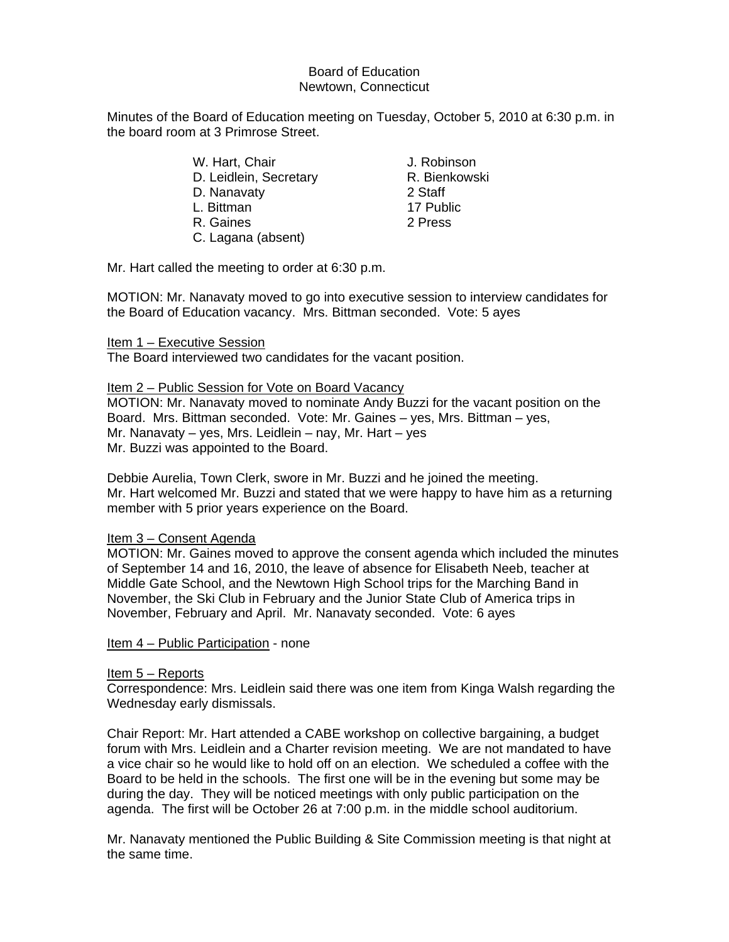# Board of Education Newtown, Connecticut

Minutes of the Board of Education meeting on Tuesday, October 5, 2010 at 6:30 p.m. in the board room at 3 Primrose Street.

| W. Hart, Chair         | J. Robinson   |
|------------------------|---------------|
| D. Leidlein, Secretary | R. Bienkowski |
| D. Nanavaty            | 2 Staff       |
| L. Bittman             | 17 Public     |
| R. Gaines              | 2 Press       |
| C. Lagana (absent)     |               |

Mr. Hart called the meeting to order at 6:30 p.m.

MOTION: Mr. Nanavaty moved to go into executive session to interview candidates for the Board of Education vacancy. Mrs. Bittman seconded. Vote: 5 ayes

### Item 1 – Executive Session

The Board interviewed two candidates for the vacant position.

### Item 2 – Public Session for Vote on Board Vacancy

MOTION: Mr. Nanavaty moved to nominate Andy Buzzi for the vacant position on the Board. Mrs. Bittman seconded. Vote: Mr. Gaines – yes, Mrs. Bittman – yes, Mr. Nanavaty – yes, Mrs. Leidlein – nay, Mr. Hart – yes Mr. Buzzi was appointed to the Board.

Debbie Aurelia, Town Clerk, swore in Mr. Buzzi and he joined the meeting. Mr. Hart welcomed Mr. Buzzi and stated that we were happy to have him as a returning member with 5 prior years experience on the Board.

#### Item 3 – Consent Agenda

MOTION: Mr. Gaines moved to approve the consent agenda which included the minutes of September 14 and 16, 2010, the leave of absence for Elisabeth Neeb, teacher at Middle Gate School, and the Newtown High School trips for the Marching Band in November, the Ski Club in February and the Junior State Club of America trips in November, February and April. Mr. Nanavaty seconded. Vote: 6 ayes

Item 4 – Public Participation - none

## Item 5 – Reports

Correspondence: Mrs. Leidlein said there was one item from Kinga Walsh regarding the Wednesday early dismissals.

Chair Report: Mr. Hart attended a CABE workshop on collective bargaining, a budget forum with Mrs. Leidlein and a Charter revision meeting. We are not mandated to have a vice chair so he would like to hold off on an election. We scheduled a coffee with the Board to be held in the schools. The first one will be in the evening but some may be during the day. They will be noticed meetings with only public participation on the agenda. The first will be October 26 at 7:00 p.m. in the middle school auditorium.

Mr. Nanavaty mentioned the Public Building & Site Commission meeting is that night at the same time.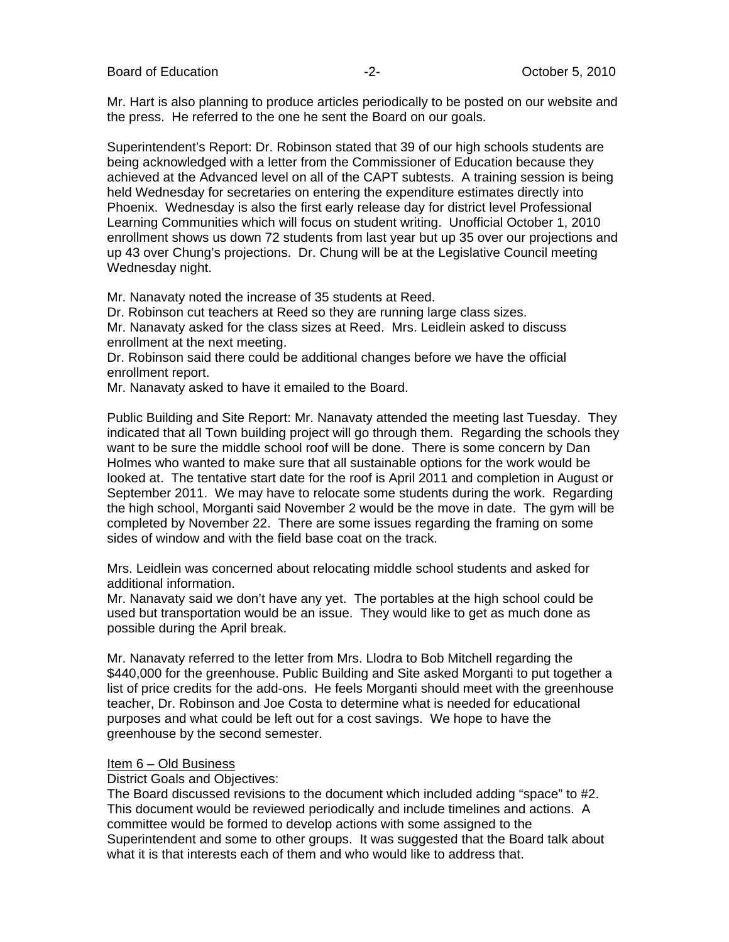Board of Education **Contact Contact Contact Contact Contact Contact Contact Contact Contact Contact Contact Contact Contact Contact Contact Contact Contact Contact Contact Contact Contact Contact Contact Contact Contact Co** 

Mr. Hart is also planning to produce articles periodically to be posted on our website and the press. He referred to the one he sent the Board on our goals.

Superintendent's Report: Dr. Robinson stated that 39 of our high schools students are being acknowledged with a letter from the Commissioner of Education because they achieved at the Advanced level on all of the CAPT subtests. A training session is being held Wednesday for secretaries on entering the expenditure estimates directly into Phoenix. Wednesday is also the first early release day for district level Professional Learning Communities which will focus on student writing. Unofficial October 1, 2010 enrollment shows us down 72 students from last year but up 35 over our projections and up 43 over Chung's projections. Dr. Chung will be at the Legislative Council meeting Wednesday night.

Mr. Nanavaty noted the increase of 35 students at Reed.

Dr. Robinson cut teachers at Reed so they are running large class sizes.

Mr. Nanavaty asked for the class sizes at Reed. Mrs. Leidlein asked to discuss enrollment at the next meeting.

Dr. Robinson said there could be additional changes before we have the official enrollment report.

Mr. Nanavaty asked to have it emailed to the Board.

Public Building and Site Report: Mr. Nanavaty attended the meeting last Tuesday. They indicated that all Town building project will go through them. Regarding the schools they want to be sure the middle school roof will be done. There is some concern by Dan Holmes who wanted to make sure that all sustainable options for the work would be looked at. The tentative start date for the roof is April 2011 and completion in August or September 2011. We may have to relocate some students during the work. Regarding the high school, Morganti said November 2 would be the move in date. The gym will be completed by November 22. There are some issues regarding the framing on some sides of window and with the field base coat on the track.

Mrs. Leidlein was concerned about relocating middle school students and asked for additional information.

Mr. Nanavaty said we don't have any yet. The portables at the high school could be used but transportation would be an issue. They would like to get as much done as possible during the April break.

Mr. Nanavaty referred to the letter from Mrs. Llodra to Bob Mitchell regarding the \$440,000 for the greenhouse. Public Building and Site asked Morganti to put together a list of price credits for the add-ons. He feels Morganti should meet with the greenhouse teacher, Dr. Robinson and Joe Costa to determine what is needed for educational purposes and what could be left out for a cost savings. We hope to have the greenhouse by the second semester.

## Item 6 – Old Business

District Goals and Objectives:

The Board discussed revisions to the document which included adding "space" to #2. This document would be reviewed periodically and include timelines and actions. A committee would be formed to develop actions with some assigned to the Superintendent and some to other groups. It was suggested that the Board talk about what it is that interests each of them and who would like to address that.